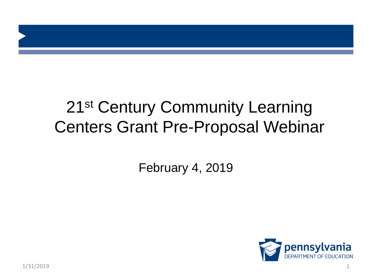### 21<sup>st</sup> Century Community Learning Centers Grant Pre-Proposal Webinar

February 4, 2019

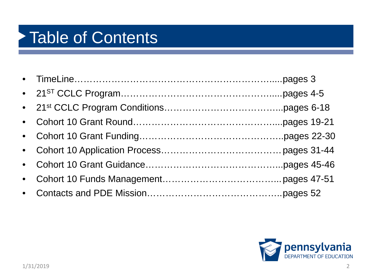### Table of Contents

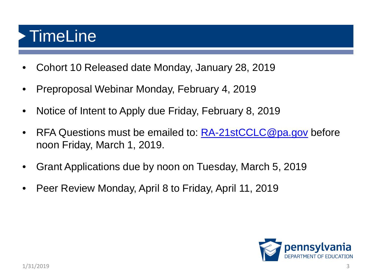### **TimeLine**

- Cohort 10 Released date Monday, January 28, 2019
- Preproposal Webinar Monday, February 4, 2019
- Notice of Intent to Apply due Friday, February 8, 2019
- RFA Questions must be emailed to: **[RA-21stCCLC@pa.gov](mailto:RA-21stCCLC@pa.gov)** before noon Friday, March 1, 2019.
- Grant Applications due by noon on Tuesday, March 5, 2019
- Peer Review Monday, April 8 to Friday, April 11, 2019

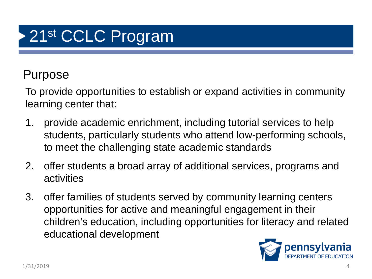# 21<sup>st</sup> CCLC Program

#### Purpose

To provide opportunities to establish or expand activities in community learning center that:

- 1. provide academic enrichment, including tutorial services to help students, particularly students who attend low-performing schools, to meet the challenging state academic standards
- 2. offer students a broad array of additional services, programs and activities
- 3. offer families of students served by community learning centers opportunities for active and meaningful engagement in their children's education, including opportunities for literacy and related educational development

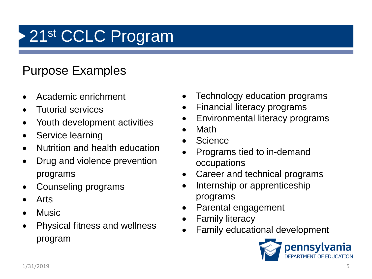# 21<sup>st</sup> CCLC Program

#### Purpose Examples

- Academic enrichment
- Tutorial services
- Youth development activities
- Service learning
- Nutrition and health education
- Drug and violence prevention programs
- Counseling programs
- Arts
- Music
- Physical fitness and wellness program
- Technology education programs
- Financial literacy programs
- Environmental literacy programs
- Math
- **Science**
- Programs tied to in-demand occupations
- Career and technical programs
- Internship or apprenticeship programs
- Parental engagement
- **Family literacy**
- Family educational development

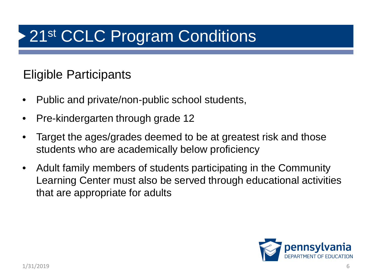#### Eligible Participants

- Public and private/non-public school students,
- Pre-kindergarten through grade 12
- Target the ages/grades deemed to be at greatest risk and those students who are academically below proficiency
- Adult family members of students participating in the Community Learning Center must also be served through educational activities that are appropriate for adults

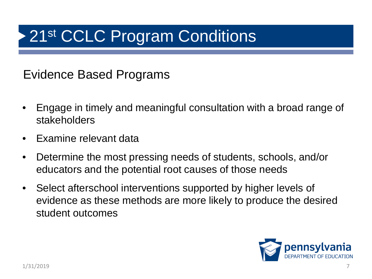Evidence Based Programs

- Engage in timely and meaningful consultation with a broad range of stakeholders
- Examine relevant data
- Determine the most pressing needs of students, schools, and/or educators and the potential root causes of those needs
- Select afterschool interventions supported by higher levels of evidence as these methods are more likely to produce the desired student outcomes

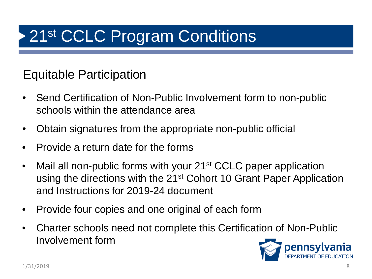#### Equitable Participation

- Send Certification of Non-Public Involvement form to non-public schools within the attendance area
- Obtain signatures from the appropriate non-public official
- Provide a return date for the forms
- Mail all non-public forms with your 21<sup>st</sup> CCLC paper application using the directions with the 21<sup>st</sup> Cohort 10 Grant Paper Application and Instructions for 2019-24 document
- Provide four copies and one original of each form
- Charter schools need not complete this Certification of Non-Public Involvement form

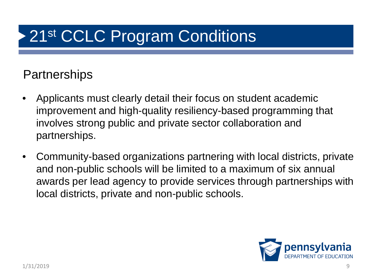#### **Partnerships**

- Applicants must clearly detail their focus on student academic improvement and high-quality resiliency-based programming that involves strong public and private sector collaboration and partnerships.
- Community-based organizations partnering with local districts, private and non-public schools will be limited to a maximum of six annual awards per lead agency to provide services through partnerships with local districts, private and non-public schools.

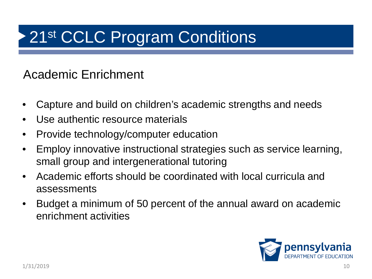#### Academic Enrichment

- Capture and build on children's academic strengths and needs
- Use authentic resource materials
- Provide technology/computer education
- Employ innovative instructional strategies such as service learning, small group and intergenerational tutoring
- Academic efforts should be coordinated with local curricula and assessments
- Budget a minimum of 50 percent of the annual award on academic enrichment activities

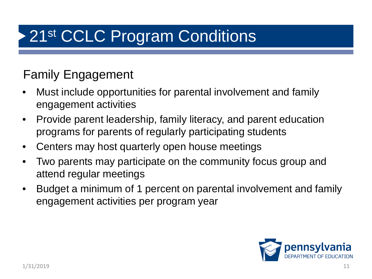#### Family Engagement

- Must include opportunities for parental involvement and family engagement activities
- Provide parent leadership, family literacy, and parent education programs for parents of regularly participating students
- Centers may host quarterly open house meetings
- Two parents may participate on the community focus group and attend regular meetings
- Budget a minimum of 1 percent on parental involvement and family engagement activities per program year

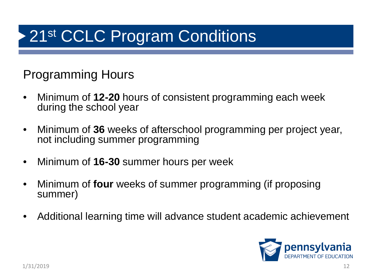#### Programming Hours

- Minimum of **12-20** hours of consistent programming each week during the school year
- Minimum of **36** weeks of afterschool programming per project year, not including summer programming
- Minimum of **16-30** summer hours per week
- Minimum of **four** weeks of summer programming (if proposing summer)
- Additional learning time will advance student academic achievement

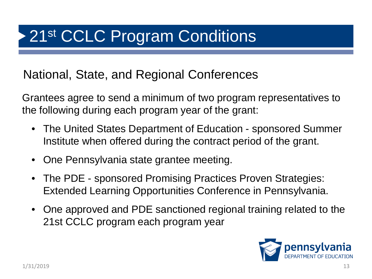National, State, and Regional Conferences

Grantees agree to send a minimum of two program representatives to the following during each program year of the grant:

- The United States Department of Education sponsored Summer Institute when offered during the contract period of the grant.
- One Pennsylvania state grantee meeting.
- The PDE sponsored Promising Practices Proven Strategies: Extended Learning Opportunities Conference in Pennsylvania.
- One approved and PDE sanctioned regional training related to the 21st CCLC program each program year

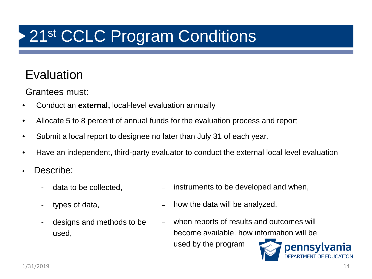### 21st CCLC Program Conditions

#### Evaluation

Grantees must:

- Conduct an **external,** local-level evaluation annually
- Allocate 5 to 8 percent of annual funds for the evaluation process and report
- Submit a local report to designee no later than July 31 of each year.
- Have an independent, third-party evaluator to conduct the external local level evaluation
- Describe:
	- data to be collected,
	- types of data,
	- designs and methods to be used,
- instruments to be developed and when,
- how the data will be analyzed,
- when reports of results and outcomes will become available, how information will be used by the program pennsylvania

DEPARTMENT OF EDUCATION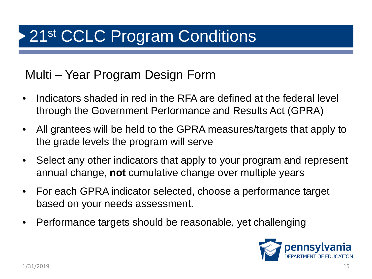#### Multi – Year Program Design Form

- Indicators shaded in red in the RFA are defined at the federal level through the Government Performance and Results Act (GPRA)
- All grantees will be held to the GPRA measures/targets that apply to the grade levels the program will serve
- Select any other indicators that apply to your program and represent annual change, **not** cumulative change over multiple years
- For each GPRA indicator selected, choose a performance target based on your needs assessment.
- Performance targets should be reasonable, yet challenging

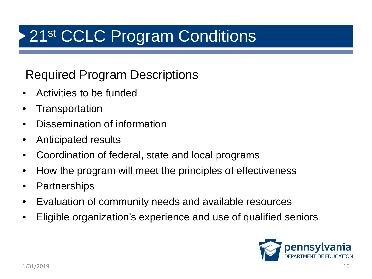#### Required Program Descriptions

- Activities to be funded
- **Transportation**
- Dissemination of information
- Anticipated results
- Coordination of federal, state and local programs
- How the program will meet the principles of effectiveness
- **Partnerships**
- Evaluation of community needs and available resources
- Eligible organization's experience and use of qualified seniors

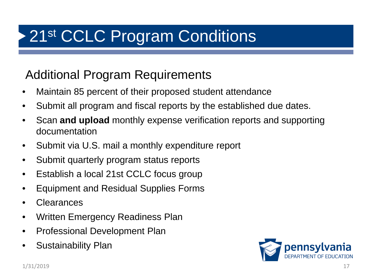#### Additional Program Requirements

- Maintain 85 percent of their proposed student attendance
- Submit all program and fiscal reports by the established due dates.
- Scan **and upload** monthly expense verification reports and supporting documentation
- Submit via U.S. mail a monthly expenditure report
- Submit quarterly program status reports
- Establish a local 21st CCLC focus group
- Equipment and Residual Supplies Forms
- **Clearances**
- Written Emergency Readiness Plan
- Professional Development Plan
- Sustainability Plan

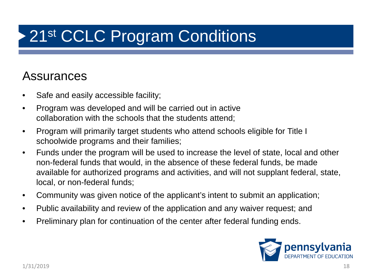#### Assurances

- Safe and easily accessible facility;
- Program was developed and will be carried out in active collaboration with the schools that the students attend;
- Program will primarily target students who attend schools eligible for Title I schoolwide programs and their families;
- Funds under the program will be used to increase the level of state, local and other non-federal funds that would, in the absence of these federal funds, be made available for authorized programs and activities, and will not supplant federal, state, local, or non-federal funds;
- Community was given notice of the applicant's intent to submit an application;
- Public availability and review of the application and any waiver request; and
- Preliminary plan for continuation of the center after federal funding ends.

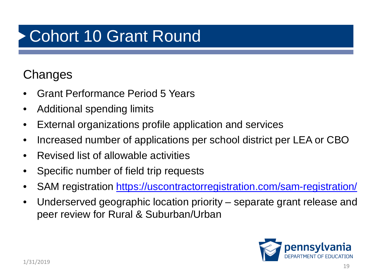# Cohort 10 Grant Round

#### **Changes**

- Grant Performance Period 5 Years
- Additional spending limits
- External organizations profile application and services
- Increased number of applications per school district per LEA or CBO
- Revised list of allowable activities
- Specific number of field trip requests
- SAM registration<https://uscontractorregistration.com/sam-registration/>
- Underserved geographic location priority separate grant release and peer review for Rural & Suburban/Urban

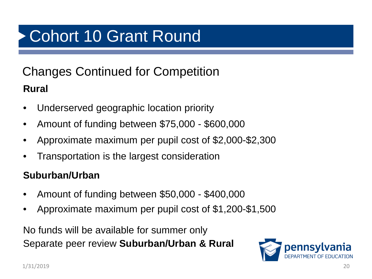# Cohort 10 Grant Round

#### Changes Continued for Competition **Rural**

- Underserved geographic location priority
- Amount of funding between \$75,000 \$600,000
- Approximate maximum per pupil cost of \$2,000-\$2,300
- Transportation is the largest consideration

#### **Suburban/Urban**

- Amount of funding between \$50,000 \$400,000
- Approximate maximum per pupil cost of \$1,200-\$1,500

No funds will be available for summer only Separate peer review **Suburban/Urban & Rural**

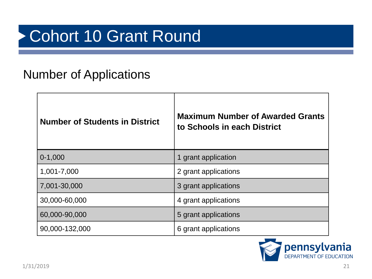### Cohort 10 Grant Round

#### Number of Applications

| <b>Number of Students in District</b> | <b>Maximum Number of Awarded Grants</b><br>to Schools in each District |
|---------------------------------------|------------------------------------------------------------------------|
| $0-1,000$                             | 1 grant application                                                    |
| 1,001-7,000                           | 2 grant applications                                                   |
| 7,001-30,000                          | 3 grant applications                                                   |
| 30,000-60,000                         | 4 grant applications                                                   |
| 60,000-90,000                         | 5 grant applications                                                   |
| 90,000-132,000                        | 6 grant applications                                                   |

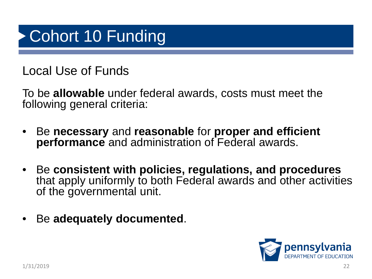Local Use of Funds

To be **allowable** under federal awards, costs must meet the following general criteria:

- Be **necessary** and **reasonable** for **proper and efficient performance** and administration of Federal awards.
- Be **consistent with policies, regulations, and procedures**  that apply uniformly to both Federal awards and other activities of the governmental unit.
- Be **adequately documented**.

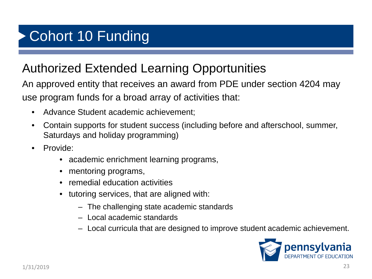#### Authorized Extended Learning Opportunities

An approved entity that receives an award from PDE under section 4204 may use program funds for a broad array of activities that:

- Advance Student academic achievement;
- Contain supports for student success (including before and afterschool, summer, Saturdays and holiday programming)
- Provide:
	- academic enrichment learning programs,
	- mentoring programs,
	- remedial education activities
	- tutoring services, that are aligned with:
		- The challenging state academic standards
		- Local academic standards
		- Local curricula that are designed to improve student academic achievement.

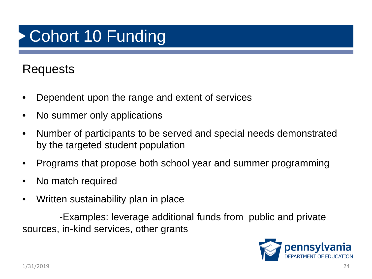#### Requests

- Dependent upon the range and extent of services
- No summer only applications
- Number of participants to be served and special needs demonstrated by the targeted student population
- Programs that propose both school year and summer programming
- No match required
- Written sustainability plan in place

-Examples: leverage additional funds from public and private sources, in-kind services, other grants

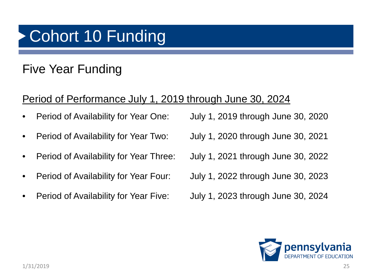#### Five Year Funding

#### Period of Performance July 1, 2019 through June 30, 2024

- 
- 
- 
- 
- Period of Availability for Year Five: July 1, 2023 through June 30, 2024

• Period of Availability for Year One: July 1, 2019 through June 30, 2020 • Period of Availability for Year Two: July 1, 2020 through June 30, 2021 • Period of Availability for Year Three: July 1, 2021 through June 30, 2022 • Period of Availability for Year Four: July 1, 2022 through June 30, 2023

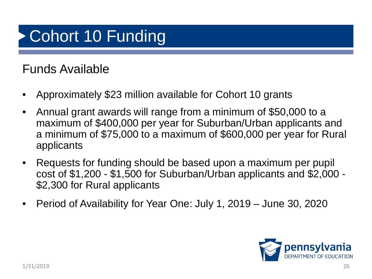#### Funds Available

- Approximately \$23 million available for Cohort 10 grants
- Annual grant awards will range from a minimum of \$50,000 to a maximum of \$400,000 per year for Suburban/Urban applicants and a minimum of \$75,000 to a maximum of \$600,000 per year for Rural applicants
- Requests for funding should be based upon a maximum per pupil cost of \$1,200 - \$1,500 for Suburban/Urban applicants and \$2,000 - \$2,300 for Rural applicants
- Period of Availability for Year One: July 1, 2019 June 30, 2020

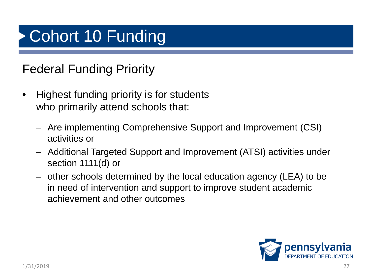#### Federal Funding Priority

- Highest funding priority is for students who primarily attend schools that:
	- Are implementing Comprehensive Support and Improvement (CSI) activities or
	- Additional Targeted Support and Improvement (ATSI) activities under section 1111(d) or
	- other schools determined by the local education agency (LEA) to be in need of intervention and support to improve student academic achievement and other outcomes

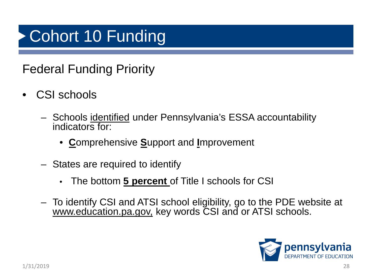#### Federal Funding Priority

- CSI schools
	- Schools identified under Pennsylvania's ESSA accountability indicators for:
		- **C**omprehensive **S**upport and **I**mprovement
	- States are required to identify
		- The bottom **5 percent** of Title I schools for CSI
	- To identify CSI and ATSI school eligibility, go to the PDE website at [www.education.pa.gov,](http://www.education.pa.gov/) key words CSI and or ATSI schools.

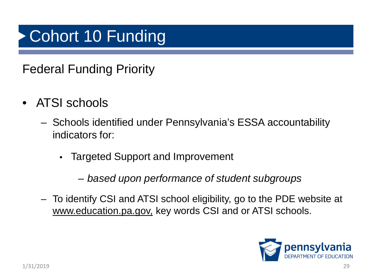#### Federal Funding Priority

- ATSI schools
	- Schools identified under Pennsylvania's ESSA accountability indicators for:
		- Targeted Support and Improvement
			- *based upon performance of student subgroups*
	- To identify CSI and ATSI school eligibility, go to the PDE website at [www.education.pa.gov,](http://www.education.pa.gov/) key words CSI and or ATSI schools.

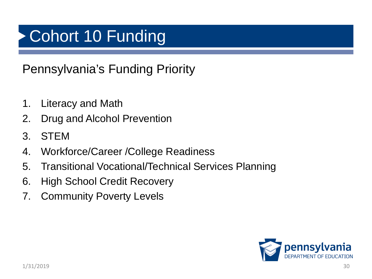Pennsylvania's Funding Priority

- 1. Literacy and Math
- 2. Drug and Alcohol Prevention
- 3. STEM
- 4. Workforce/Career /College Readiness
- 5. Transitional Vocational/Technical Services Planning
- 6. High School Credit Recovery
- 7. Community Poverty Levels

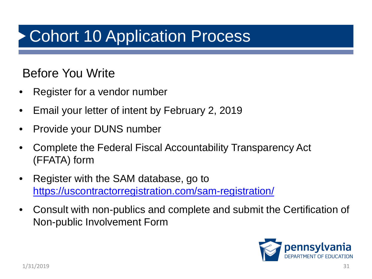#### Before You Write

- Register for a vendor number
- Email your letter of intent by February 2, 2019
- Provide your DUNS number
- Complete the Federal Fiscal Accountability Transparency Act (FFATA) form
- Register with the SAM database, go to <https://uscontractorregistration.com/sam-registration/>
- Consult with non-publics and complete and submit the Certification of Non-public Involvement Form

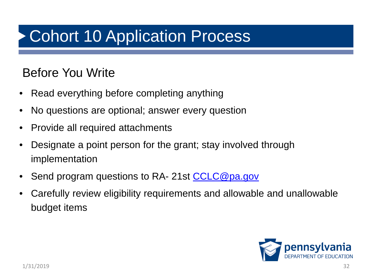#### Before You Write

- Read everything before completing anything
- No questions are optional; answer every question
- Provide all required attachments
- Designate a point person for the grant; stay involved through implementation
- Send program questions to RA- 21st [CCLC@pa.gov](mailto:CCLC@pa.gov)
- Carefully review eligibility requirements and allowable and unallowable budget items

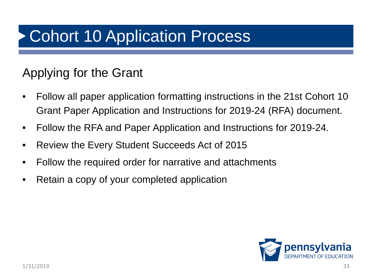#### Applying for the Grant

- Follow all paper application formatting instructions in the 21st Cohort 10 Grant Paper Application and Instructions for 2019-24 (RFA) document.
- Follow the RFA and Paper Application and Instructions for 2019-24.
- Review the Every Student Succeeds Act of 2015
- Follow the required order for narrative and attachments
- Retain a copy of your completed application

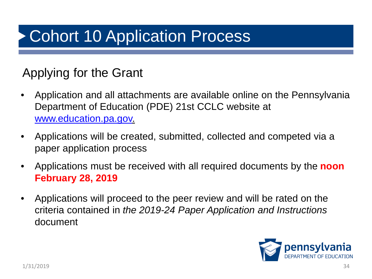#### Applying for the Grant

- Application and all attachments are available online on the Pennsylvania Department of Education (PDE) 21st CCLC website at [www.education.pa.gov.](http://www.education.pa.gov/)
- Applications will be created, submitted, collected and competed via a paper application process
- Applications must be received with all required documents by the **noon February 28, 2019**
- Applications will proceed to the peer review and will be rated on the criteria contained in *the 2019-24 Paper Application and Instructions* document

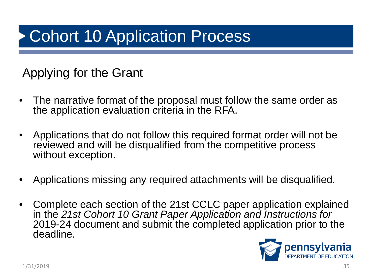#### Applying for the Grant

- The narrative format of the proposal must follow the same order as the application evaluation criteria in the RFA.
- Applications that do not follow this required format order will not be reviewed and will be disqualified from the competitive process without exception.
- Applications missing any required attachments will be disqualified.
- Complete each section of the 21st CCLC paper application explained in the *21st Cohort 10 Grant Paper Application and Instructions for*  2019-24 document and submit the completed application prior to the deadline.

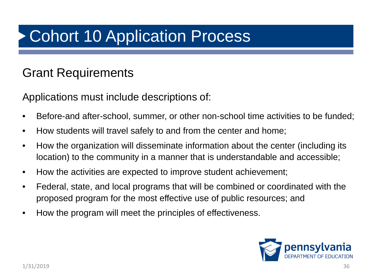#### Grant Requirements

Applications must include descriptions of:

- Before-and after-school, summer, or other non-school time activities to be funded;
- How students will travel safely to and from the center and home;
- How the organization will disseminate information about the center (including its location) to the community in a manner that is understandable and accessible;
- How the activities are expected to improve student achievement;
- Federal, state, and local programs that will be combined or coordinated with the proposed program for the most effective use of public resources; and
- How the program will meet the principles of effectiveness.

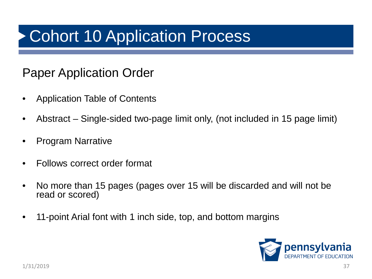#### Paper Application Order

- Application Table of Contents
- Abstract Single-sided two-page limit only, (not included in 15 page limit)
- Program Narrative
- Follows correct order format
- No more than 15 pages (pages over 15 will be discarded and will not be read or scored)
- 11-point Arial font with 1 inch side, top, and bottom margins

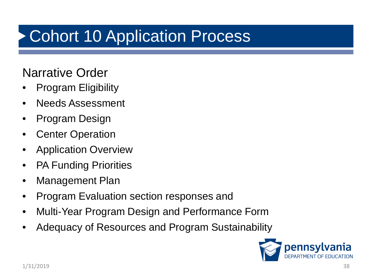#### Narrative Order

- Program Eligibility
- Needs Assessment
- Program Design
- **Center Operation**
- Application Overview
- PA Funding Priorities
- Management Plan
- Program Evaluation section responses and
- Multi-Year Program Design and Performance Form
- Adequacy of Resources and Program Sustainability

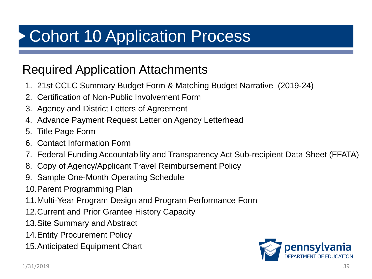#### Required Application Attachments

- 1. 21st CCLC Summary Budget Form & Matching Budget Narrative (2019-24)
- 2. Certification of Non-Public Involvement Form
- 3. Agency and District Letters of Agreement
- 4. Advance Payment Request Letter on Agency Letterhead
- 5. Title Page Form
- 6. Contact Information Form
- 7. Federal Funding Accountability and Transparency Act Sub-recipient Data Sheet (FFATA)
- 8. Copy of Agency/Applicant Travel Reimbursement Policy
- 9. Sample One-Month Operating Schedule
- 10.Parent Programming Plan
- 11.Multi-Year Program Design and Program Performance Form
- 12.Current and Prior Grantee History Capacity
- 13.Site Summary and Abstract
- 14.Entity Procurement Policy
- 15.Anticipated Equipment Chart

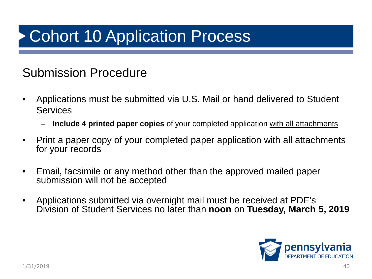#### Submission Procedure

- Applications must be submitted via U.S. Mail or hand delivered to Student **Services** 
	- **Include 4 printed paper copies** of your completed application with all attachments
- Print a paper copy of your completed paper application with all attachments for your records
- Email, facsimile or any method other than the approved mailed paper submission will not be accepted
- Applications submitted via overnight mail must be received at PDE's Division of Student Services no later than **noon** on **Tuesday, March 5, 2019**

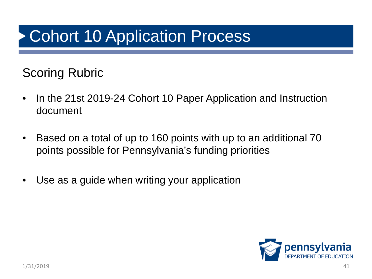#### Scoring Rubric

- In the 21st 2019-24 Cohort 10 Paper Application and Instruction document
- Based on a total of up to 160 points with up to an additional 70 points possible for Pennsylvania's funding priorities
- Use as a guide when writing your application

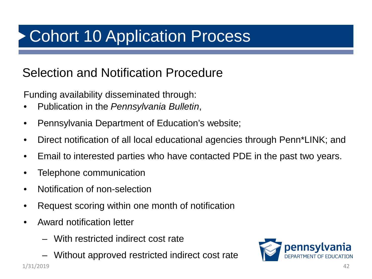#### Selection and Notification Procedure

Funding availability disseminated through:

- Publication in the *Pennsylvania Bulletin*,
- Pennsylvania Department of Education's website;
- Direct notification of all local educational agencies through Penn\*LINK; and
- Email to interested parties who have contacted PDE in the past two years.
- Telephone communication
- Notification of non-selection
- Request scoring within one month of notification
- Award notification letter
	- With restricted indirect cost rate
- Without approved restricted indirect cost rate 1/31/2019 42

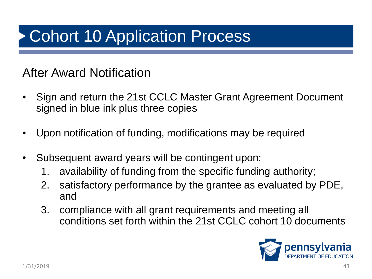#### After Award Notification

- Sign and return the 21st CCLC Master Grant Agreement Document signed in blue ink plus three copies
- Upon notification of funding, modifications may be required
- Subsequent award years will be contingent upon:
	- 1. availability of funding from the specific funding authority;
	- 2. satisfactory performance by the grantee as evaluated by PDE, and
	- 3. compliance with all grant requirements and meeting all conditions set forth within the 21st CCLC cohort 10 documents

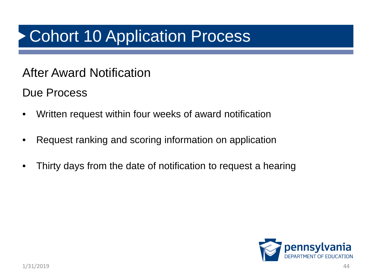#### After Award Notification

Due Process

- Written request within four weeks of award notification
- Request ranking and scoring information on application
- Thirty days from the date of notification to request a hearing

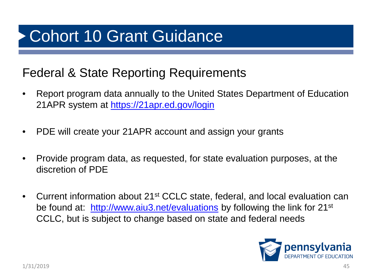### Cohort 10 Grant Guidance

#### Federal & State Reporting Requirements

- Report program data annually to the United States Department of Education 21APR system at<https://21apr.ed.gov/login>
- PDE will create your 21APR account and assign your grants
- Provide program data, as requested, for state evaluation purposes, at the discretion of PDE
- Current information about 21<sup>st</sup> CCLC state, federal, and local evaluation can be found at: [http://www.aiu3.net/evaluations](https://www.aiu3.net/evaluations) by following the link for 21<sup>st</sup> CCLC, but is subject to change based on state and federal needs

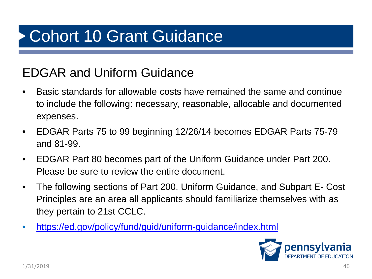### Cohort 10 Grant Guidance

#### EDGAR and Uniform Guidance

- Basic standards for allowable costs have remained the same and continue to include the following: necessary, reasonable, allocable and documented expenses.
- EDGAR Parts 75 to 99 beginning 12/26/14 becomes EDGAR Parts 75-79 and 81-99.
- EDGAR Part 80 becomes part of the Uniform Guidance under Part 200. Please be sure to review the entire document.
- The following sections of Part 200, Uniform Guidance, and Subpart E- Cost Principles are an area all applicants should familiarize themselves with as they pertain to 21st CCLC.
- <https://ed.gov/policy/fund/guid/uniform-guidance/index.html>

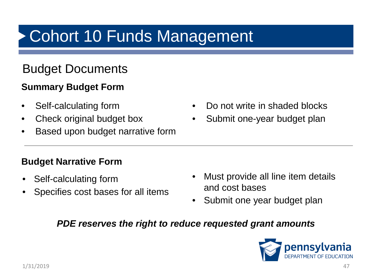#### Budget Documents

#### **Summary Budget Form**

- Self-calculating form
- Check original budget box
- Based upon budget narrative form

#### **Budget Narrative Form**

- Self-calculating form
- Specifies cost bases for all items
- Do not write in shaded blocks
- Submit one-year budget plan

- Must provide all line item details and cost bases
- Submit one year budget plan

#### *PDE reserves the right to reduce requested grant amounts*

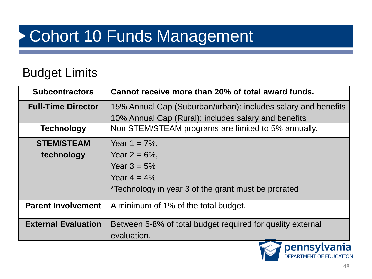#### Budget Limits

| <b>Subcontractors</b>      | Cannot receive more than 20% of total award funds.            |  |
|----------------------------|---------------------------------------------------------------|--|
| <b>Full-Time Director</b>  | 15% Annual Cap (Suburban/urban): includes salary and benefits |  |
|                            | 10% Annual Cap (Rural): includes salary and benefits          |  |
| <b>Technology</b>          | Non STEM/STEAM programs are limited to 5% annually.           |  |
| <b>STEM/STEAM</b>          | Year $1 = 7\%$ ,                                              |  |
| technology                 | Year $2 = 6\%$ ,                                              |  |
|                            | Year $3 = 5%$                                                 |  |
|                            | Year $4 = 4\%$                                                |  |
|                            | *Technology in year 3 of the grant must be prorated           |  |
| <b>Parent Involvement</b>  | A minimum of 1% of the total budget.                          |  |
| <b>External Evaluation</b> | Between 5-8% of total budget required for quality external    |  |
|                            | evaluation.                                                   |  |

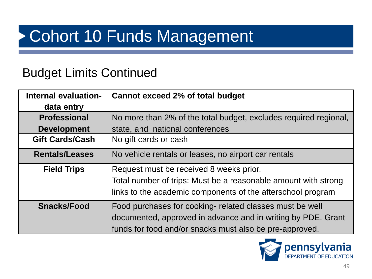#### Budget Limits Continued

| Internal evaluation-   | <b>Cannot exceed 2% of total budget</b>                          |  |
|------------------------|------------------------------------------------------------------|--|
| data entry             |                                                                  |  |
| <b>Professional</b>    | No more than 2% of the total budget, excludes required regional, |  |
| <b>Development</b>     | state, and national conferences                                  |  |
| <b>Gift Cards/Cash</b> | No gift cards or cash                                            |  |
| <b>Rentals/Leases</b>  | No vehicle rentals or leases, no airport car rentals             |  |
| <b>Field Trips</b>     | Request must be received 8 weeks prior.                          |  |
|                        | Total number of trips: Must be a reasonable amount with strong   |  |
|                        | links to the academic components of the afterschool program      |  |
| <b>Snacks/Food</b>     | Food purchases for cooking- related classes must be well         |  |
|                        | documented, approved in advance and in writing by PDE. Grant     |  |
|                        | funds for food and/or snacks must also be pre-approved.          |  |

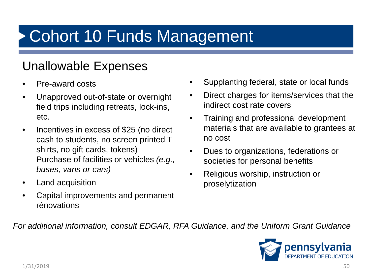#### Unallowable Expenses

- Pre-award costs
- Unapproved out-of-state or overnight field trips including retreats, lock-ins, etc.
- Incentives in excess of \$25 (no direct cash to students, no screen printed T shirts, no gift cards, tokens) Purchase of facilities or vehicles *(e.g., buses, vans or cars)*
- Land acquisition
- Capital improvements and permanent rénovations
- Supplanting federal, state or local funds
- Direct charges for items/services that the indirect cost rate covers
- Training and professional development materials that are available to grantees at no cost
- Dues to organizations, federations or societies for personal benefits
- Religious worship, instruction or proselytization

*For additional information, consult EDGAR, RFA Guidance, and the Uniform Grant Guidance*

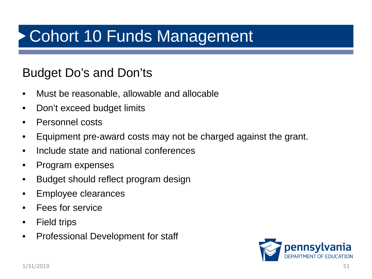#### Budget Do's and Don'ts

- Must be reasonable, allowable and allocable
- Don't exceed budget limits
- Personnel costs
- Equipment pre-award costs may not be charged against the grant.
- Include state and national conferences
- Program expenses
- Budget should reflect program design
- Employee clearances
- Fees for service
- Field trips
- Professional Development for staff